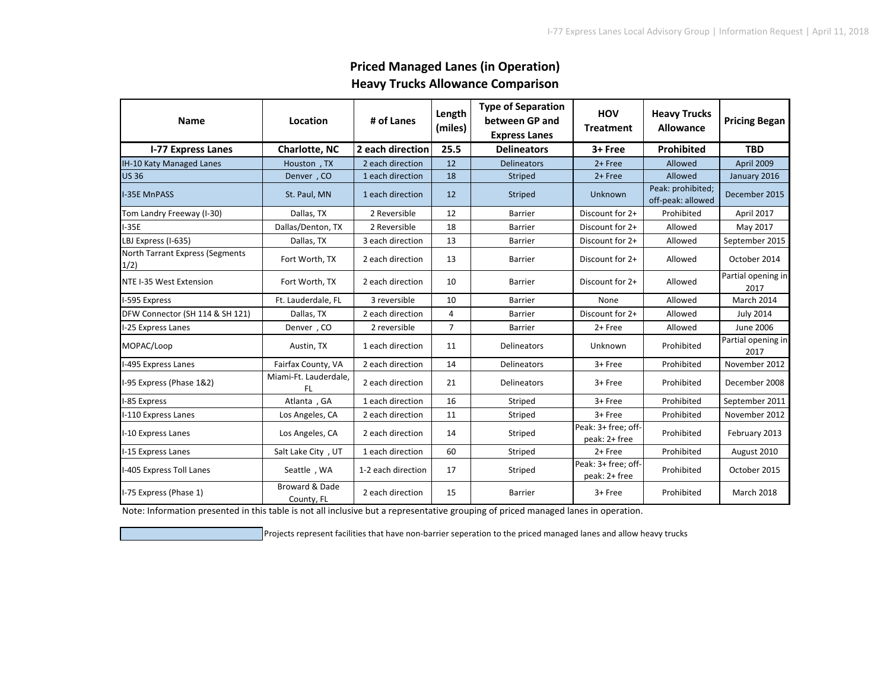| <b>Name</b>                             | Location                     | # of Lanes         | Length<br>(miles) | <b>Type of Separation</b><br>between GP and<br><b>Express Lanes</b> | <b>HOV</b><br><b>Treatment</b>       | <b>Heavy Trucks</b><br><b>Allowance</b> | <b>Pricing Began</b>       |
|-----------------------------------------|------------------------------|--------------------|-------------------|---------------------------------------------------------------------|--------------------------------------|-----------------------------------------|----------------------------|
| <b>I-77 Express Lanes</b>               | <b>Charlotte, NC</b>         |                    | 25.5              | <b>Delineators</b>                                                  | 3+ Free                              | Prohibited                              | <b>TBD</b>                 |
| IH-10 Katy Managed Lanes                | Houston, TX                  | 2 each direction   | 12                | <b>Delineators</b>                                                  | 2+ Free                              | Allowed                                 | April 2009                 |
| <b>US36</b>                             | Denver, CO                   | 1 each direction   | 18                | Striped                                                             | 2+ Free                              | Allowed                                 | January 2016               |
| <b>-35E MnPASS</b>                      | St. Paul, MN                 | 1 each direction   | 12                | Striped                                                             | Unknown                              | Peak: prohibited;<br>off-peak: allowed  | December 2015              |
| Tom Landry Freeway (I-30)               | Dallas, TX                   | 2 Reversible       | 12                | <b>Barrier</b>                                                      | Discount for 2+                      | Prohibited                              | April 2017                 |
| $I-35E$                                 | Dallas/Denton, TX            | 2 Reversible       | 18                | <b>Barrier</b>                                                      | Discount for 2+                      | Allowed                                 | May 2017                   |
| LBJ Express (I-635)                     | Dallas, TX                   | 3 each direction   | 13                | <b>Barrier</b>                                                      | Discount for 2+                      | Allowed                                 | September 2015             |
| North Tarrant Express (Segments<br>1/2) | Fort Worth, TX               | 2 each direction   | 13                | Barrier                                                             | Discount for 2+                      | Allowed                                 | October 2014               |
| NTE I-35 West Extension                 | Fort Worth, TX               | 2 each direction   | 10                | <b>Barrier</b>                                                      | Discount for 2+                      | Allowed                                 | Partial opening in<br>2017 |
| I-595 Express                           | Ft. Lauderdale, FL           | 3 reversible       | 10                | <b>Barrier</b>                                                      | None                                 | Allowed                                 | March 2014                 |
| DFW Connector (SH 114 & SH 121)         | Dallas, TX                   | 2 each direction   | 4                 | <b>Barrier</b>                                                      | Discount for 2+                      | Allowed                                 | <b>July 2014</b>           |
| I-25 Express Lanes                      | Denver, CO                   | 2 reversible       | $\overline{7}$    | Barrier                                                             | 2+ Free                              | Allowed                                 | June 2006                  |
| MOPAC/Loop                              | Austin, TX                   | 1 each direction   | 11                | Delineators                                                         | Unknown                              | Prohibited                              | Partial opening in<br>2017 |
| I-495 Express Lanes                     | Fairfax County, VA           | 2 each direction   | 14                | <b>Delineators</b>                                                  | 3+ Free                              | Prohibited                              | November 2012              |
| I-95 Express (Phase 1&2)                | Miami-Ft. Lauderdale,<br>FL. | 2 each direction   | 21                | Delineators                                                         | 3+ Free                              | Prohibited                              | December 2008              |
| I-85 Express                            | Atlanta, GA                  | 1 each direction   | 16                | Striped                                                             | 3+ Free                              | Prohibited                              | September 2011             |
| I-110 Express Lanes                     | Los Angeles, CA              | 2 each direction   | 11                | Striped                                                             | 3+ Free                              | Prohibited                              | November 2012              |
| I-10 Express Lanes                      | Los Angeles, CA              | 2 each direction   | 14                | Striped                                                             | Peak: 3+ free: off-<br>peak: 2+ free | Prohibited                              | February 2013              |
| I-15 Express Lanes                      | Salt Lake City, UT           | 1 each direction   | 60                | Striped                                                             | $2 +$ Free                           | Prohibited                              | August 2010                |
| I-405 Express Toll Lanes                | Seattle, WA                  | 1-2 each direction | 17                | Striped                                                             | Peak: 3+ free; off-<br>peak: 2+ free | Prohibited                              | October 2015               |
| I-75 Express (Phase 1)                  | Broward & Dade<br>County, FL | 2 each direction   | 15                | <b>Barrier</b>                                                      | 3+ Free                              | Prohibited                              | March 2018                 |

## **Priced Managed Lanes (in Operation) Heavy Trucks Allowance Comparison**

Note: Information presented in this table is not all inclusive but a representative grouping of priced managed lanes in operation.

Projects represent facilities that have non-barrier seperation to the priced managed lanes and allow heavy trucks